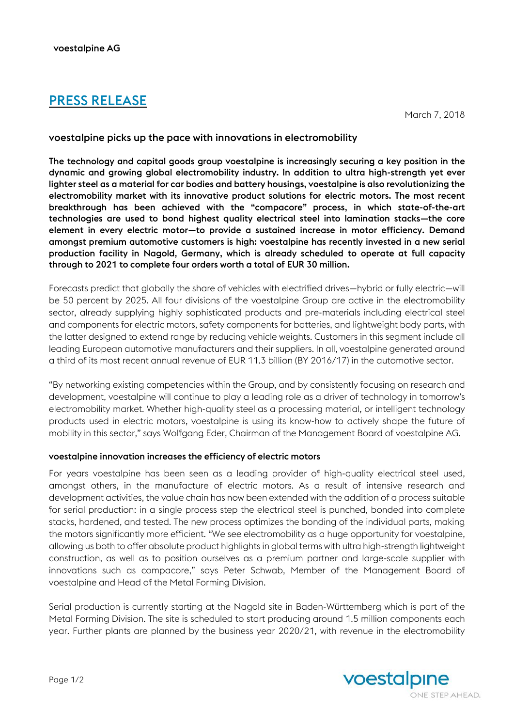# PRESS RELEASE

March 7, 2018

## voestalpine picks up the pace with innovations in electromobility

The technology and capital goods group voestalpine is increasingly securing a key position in the dynamic and growing global electromobility industry. In addition to ultra high-strength yet ever lighter steel as a material for car bodies and battery housings, voestalpine is also revolutionizing the electromobility market with its innovative product solutions for electric motors. The most recent breakthrough has been achieved with the "compacore" process, in which state-of-the-art technologies are used to bond highest quality electrical steel into lamination stacks—the core element in every electric motor—to provide a sustained increase in motor efficiency. Demand amongst premium automotive customers is high: voestalpine has recently invested in a new serial production facility in Nagold, Germany, which is already scheduled to operate at full capacity through to 2021 to complete four orders worth a total of EUR 30 million.

Forecasts predict that globally the share of vehicles with electrified drives—hybrid or fully electric—will be 50 percent by 2025. All four divisions of the voestalpine Group are active in the electromobility sector, already supplying highly sophisticated products and pre-materials including electrical steel and components for electric motors, safety components for batteries, and lightweight body parts, with the latter designed to extend range by reducing vehicle weights. Customers in this segment include all leading European automotive manufacturers and their suppliers. In all, voestalpine generated around a third of its most recent annual revenue of EUR 11.3 billion (BY 2016/17) in the automotive sector.

"By networking existing competencies within the Group, and by consistently focusing on research and development, voestalpine will continue to play a leading role as a driver of technology in tomorrow's electromobility market. Whether high-quality steel as a processing material, or intelligent technology products used in electric motors, voestalpine is using its know-how to actively shape the future of mobility in this sector," says Wolfgang Eder, Chairman of the Management Board of voestalpine AG.

## voestalpine innovation increases the efficiency of electric motors

For years voestalpine has been seen as a leading provider of high-quality electrical steel used, amongst others, in the manufacture of electric motors. As a result of intensive research and development activities, the value chain has now been extended with the addition of a process suitable for serial production: in a single process step the electrical steel is punched, bonded into complete stacks, hardened, and tested. The new process optimizes the bonding of the individual parts, making the motors significantly more efficient. "We see electromobility as a huge opportunity for voestalpine, allowing us both to offer absolute product highlights in global terms with ultra high-strength lightweight construction, as well as to position ourselves as a premium partner and large-scale supplier with innovations such as compacore," says Peter Schwab, Member of the Management Board of voestalpine and Head of the Metal Forming Division.

Serial production is currently starting at the Nagold site in Baden-Württemberg which is part of the Metal Forming Division. The site is scheduled to start producing around 1.5 million components each year. Further plants are planned by the business year 2020/21, with revenue in the electromobility